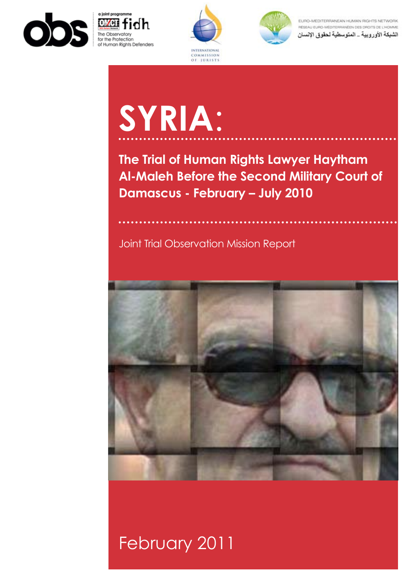







EURO-MEDITERRANEAN HUMAN RIGHTS NETWORK RÉSEAU EURO-MÉDITERRANÉEN DES DROITS DE L'HOMME الشبكة الأوروبية \_ المتوسطية لحقوق الإنسان

# **SYRIA**:

**The Trial of Human Rights Lawyer Haytham Al-Maleh Before the Second Military Court of Damascus - February – July 2010**

## Joint Trial Observation Mission Report



## February 2011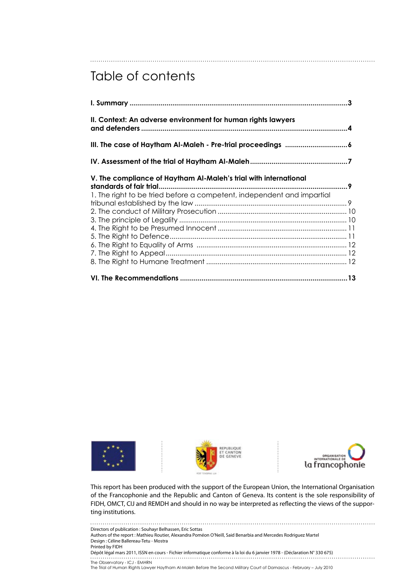## Table of contents

| II. Context: An adverse environment for human rights lawyers                                                                               |  |
|--------------------------------------------------------------------------------------------------------------------------------------------|--|
|                                                                                                                                            |  |
|                                                                                                                                            |  |
| V. The compliance of Haytham Al-Maleh's trial with international<br>1. The right to be tried before a competent, independent and impartial |  |
|                                                                                                                                            |  |







This report has been produced with the support of the European Union, the International Organisation of the Francophonie and the Republic and Canton of Geneva. Its content is the sole responsibility of FIDH, OMCT, CIJ and REMDH and should in no way be interpreted as reflecting the views of the supporting institutions.

The Observatory - ICJ - EMHRN The Trial of Human Rights Lawyer Haytham Al-Maleh Before the Second Military Court of Damascus - February – July 2010 Directors of publication : Souhayr Belhassen, Eric Sottas Authors of the report : Mathieu Routier, Alexandra Poméon O'Neill, Said Benarbia and Mercedes Rodriguez Martel Design : Céline Ballereau-Tetu - Mostra Printed by FIDH Dépôt légal mars 2011, ISSN en cours - Fichier informatique conforme à la loi du 6 janvier 1978 - (Déclaration N° 330 675)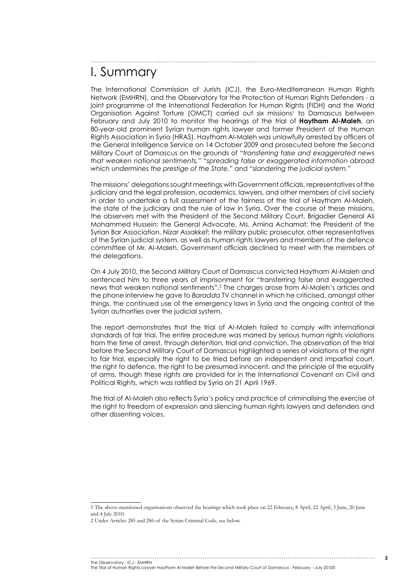## I. Summary

The International Commission of Jurists (ICJ), the Euro-Mediterranean Human Rights Network (EMHRN), and the Observatory for the Protection of Human Rights Defenders - a joint programme of the International Federation for Human Rights (FIDH) and the World Organisation Against Torture (OMCT) carried out six missions<sup>1</sup> to Damascus between February and July 2010 to monitor the hearings of the trial of **Haytham Al-Maleh**, an 80-year-old prominent Syrian human rights lawyer and former President of the Human Rights Association in Syria (HRAS). Haytham Al-Maleh was unlawfully arrested by officers of the General Intelligence Service on 14 October 2009 and prosecuted before the Second Military Court of Damascus on the grounds of "*transferring false and exaggerated news that weaken national sentiments,"* "*spreading false or exaggerated information abroad which undermines the prestige of the State,"* and *"slandering the judicial system."*

The missions' delegations sought meetings with Government officials, representatives of the judiciary and the legal profession, academics, lawyers, and other members of civil society in order to undertake a full assessment of the fairness of the trial of Haytham Al-Maleh, the state of the judiciary and the rule of law in Syria. Over the course of these missions, the observers met with the President of the Second Military Court, Brigadier General Ali Mohammed Hussein; the General Advocate, Ms. Amina Achamat; the President of the Syrian Bar Association, Nizar Assakkef; the military public prosecutor, other representatives of the Syrian judicial system, as well as human rights lawyers and members of the defence committee of Mr. Al-Maleh. Government officials declined to meet with the members of the delegations.

On 4 July 2010, the Second Military Court of Damascus convicted Haytham Al-Maleh and sentenced him to three years of imprisonment for "transferring false and exaggerated news that weaken national sentiments".2 The charges arose from Al-Maleh's articles and the phone interview he gave to *Baradda* TV channel in which he criticised, amongst other things, the continued use of the emergency laws in Syria and the ongoing control of the Syrian authorities over the judicial system.

The report demonstrates that the trial of Al-Maleh failed to comply with international standards of fair trial. The entire procedure was marred by serious human rights violations from the time of arrest, through detention, trial and conviction. The observation of the trial before the Second Military Court of Damascus highlighted a series of violations of the right to fair trial, especially the right to be tried before an independent and impartial court, the right to defence, the right to be presumed innocent, and the principle of the equality of arms, though these rights are provided for in the International Covenant on Civil and Political Rights, which was ratified by Syria on 21 April 1969.

The trial of Al-Maleh also reflects Syria's policy and practice of criminalising the exercise of the right to freedom of expression and silencing human rights lawyers and defenders and other dissenting voices.

#### The Observatory - ICJ - EMHRN

<sup>1</sup> The above-mentioned organisations observed the hearings which took place on 22 February, 8 April, 22 April, 3 June, 20 June and 4 July 2010.

<sup>2</sup> Under Articles 285 and 286 of the Syrian Criminal Code, see below.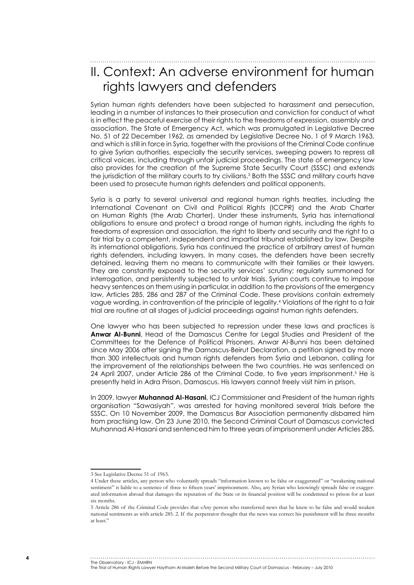## II. Context: An adverse environment for human rights lawyers and defenders

Syrian human rights defenders have been subjected to harassment and persecution, leading in a number of instances to their prosecution and conviction for conduct of what is in effect the peaceful exercise of their rights to the freedoms of expression, assembly and association. The State of Emergency Act, which was promulgated in Legislative Decree No. 51 of 22 December 1962, as amended by Legislative Decree No. 1 of 9 March 1963, and which is still in force in Syria, together with the provisions of the Criminal Code continue to give Syrian authorities, especially the security services, sweeping powers to repress all critical voices, including through unfair judicial proceedings. The state of emergency law also provides for the creation of the Supreme State Security Court (SSSC) and extends the jurisdiction of the military courts to try civilians.<sup>3</sup> Both the SSSC and military courts have been used to prosecute human rights defenders and political opponents.

Syria is a party to several universal and regional human rights treaties, including the International Covenant on Civil and Political Rights (ICCPR) and the Arab Charter on Human Rights (the Arab Charter). Under these instruments, Syria has international obligations to ensure and protect a broad range of human rights, including the rights to freedoms of expression and association, the right to liberty and security and the right to a fair trial by a competent, independent and impartial tribunal established by law. Despite its international obligations, Syria has continued the practice of arbitrary arrest of human rights defenders, including lawyers. In many cases, the defenders have been secretly detained, leaving them no means to communicate with their families or their lawyers. They are constantly exposed to the security services' scrutiny; regularly summoned for interrogation, and persistently subjected to unfair trials. Syrian courts continue to impose heavy sentences on them using in particular, in addition to the provisions of the emergency law, Articles 285, 286 and 287 of the Criminal Code. These provisions contain extremely vague wording, in contravention of the principle of legality.4 Violations of the right to a fair trial are routine at all stages of judicial proceedings against human rights defenders.

One lawyer who has been subjected to repression under these laws and practices is **Anwar Al-Bunni**, Head of the Damascus Centre for Legal Studies and President of the Committees for the Defence of Political Prisoners. Anwar Al-Bunni has been detained since May 2006 after signing the Damascus-Beirut Declaration, a petition signed by more than 300 intellectuals and human rights defenders from Syria and Lebanon, calling for the improvement of the relationships between the two countries. He was sentenced on 24 April 2007, under Article 286 of the Criminal Code, to five years imprisonment.<sup>5</sup> He is presently held in Adra Prison, Damascus. His lawyers cannot freely visit him in prison.

In 2009, lawyer **Muhannad Al-Hasani**, ICJ Commissioner and President of the human rights organisation "Sawasiyah", was arrested for having monitored several trials before the SSSC. On 10 November 2009, the Damascus Bar Association permanently disbarred him from practising law. On 23 June 2010, the Second Criminal Court of Damascus convicted Muhannad Al-Hasani and sentenced him to three years of imprisonment under Articles 285,

#### The Observatory - ICJ - EMHRN

<sup>3</sup> See Legislative Decree 51 of 1963.

<sup>4</sup> Under these articles, any person who voluntarily spreads "information known to be false or exaggerated" or "weakening national sentiment" is liable to a sentence of three to fifteen years' imprisonment. Also, any Syrian who knowingly spreads false or exaggerated information abroad that damages the reputation of the State or its financial position will be condemned to prison for at least six months.

<sup>5</sup> Article 286 of the Criminal Code provides that «Any person who transferred news that he knew to be false and would weaken national sentiments as with article 285. 2. If the perpetrator thought that the news was correct his punishment will be three months at least."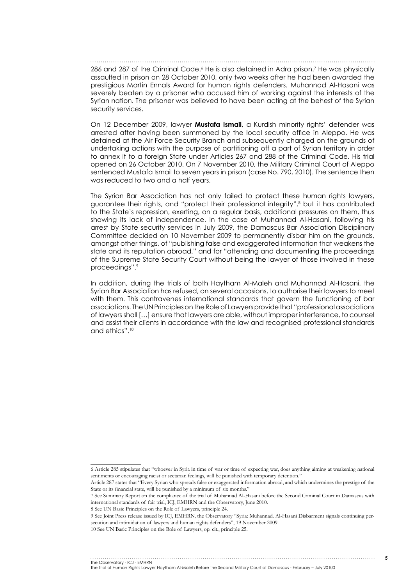286 and 287 of the Criminal Code.<sup>6</sup> He is also detained in Adra prison.<sup>7</sup> He was physically assaulted in prison on 28 October 2010, only two weeks after he had been awarded the prestigious Martin Ennals Award for human rights defenders. Muhannad Al-Hasani was severely beaten by a prisoner who accused him of working against the interests of the Syrian nation. The prisoner was believed to have been acting at the behest of the Syrian security services.

On 12 December 2009, lawyer **Mustafa Ismail**, a Kurdish minority rights' defender was arrested after having been summoned by the local security office in Aleppo. He was detained at the Air Force Security Branch and subsequently charged on the grounds of undertaking actions with the purpose of partitioning off a part of Syrian territory in order to annex it to a foreign State under Articles 267 and 288 of the Criminal Code. His trial opened on 26 October 2010. On 7 November 2010, the Military Criminal Court of Aleppo sentenced Mustafa Ismail to seven years in prison (case No. 790, 2010). The sentence then was reduced to two and a half years.

The Syrian Bar Association has not only failed to protect these human rights lawyers, guarantee their rights, and "protect their professional integrity",8 but it has contributed to the State's repression, exerting, on a regular basis, additional pressures on them, thus showing its lack of independence. In the case of Muhannad Al-Hasani, following his arrest by State security services in July 2009, the Damascus Bar Association Disciplinary Committee decided on 10 November 2009 to permanently disbar him on the grounds, amongst other things, of "publishing false and exaggerated information that weakens the state and its reputation abroad," and for "attending and documenting the proceedings of the Supreme State Security Court without being the lawyer of those involved in these proceedings".9

In addition, during the trials of both Haytham Al-Maleh and Muhannad Al-Hasani, the Syrian Bar Association has refused, on several occasions, to authorise their lawyers to meet with them. This contravenes international standards that govern the functioning of bar associations. The UN Principles on the Role of Lawyers provide that "professional associations of lawyers shall […] ensure that lawyers are able, without improper interference, to counsel and assist their clients in accordance with the law and recognised professional standards and ethics".10

<sup>6</sup> Article 285 stipulates that "whoever in Syria in time of war or time of expecting war, does anything aiming at weakening national sentiments or encouraging racist or sectarian feelings, will be punished with temporary detention."

Article 287 states that "Every Syrian who spreads false or exaggerated information abroad, and which undermines the prestige of the State or its financial state, will be punished by a minimum of six months."

<sup>7</sup> See Summary Report on the compliance of the trial of Muhannad Al-Hasani before the Second Criminal Court in Damascus with international standards of fair trial, ICJ, EMHRN and the Observatory, June 2010.

<sup>8</sup> See UN Basic Principles on the Role of Lawyers, principle 24.

<sup>9</sup> See Joint Press release issued by ICJ, EMHRN, the Observatory "Syria: Muhannad. Al-Hasani Disbarment signals continuing persecution and intimidation of lawyers and human rights defenders", 19 November 2009.

<sup>10</sup> See UN Basic Principles on the Role of Lawyers, op. cit., principle 25.

The Observatory - ICJ - EMHRN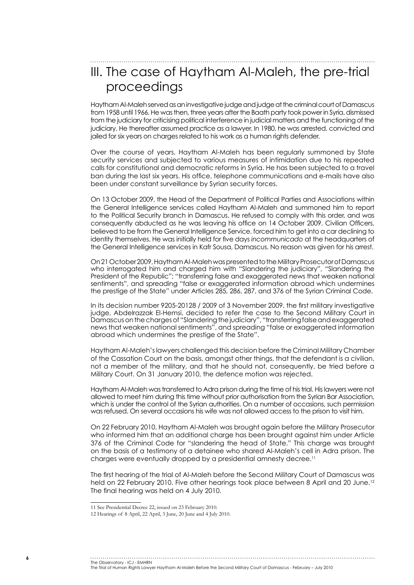## III. The case of Haytham Al-Maleh, the pre-trial proceedings

Haytham Al-Maleh served as an investigative judge and judge at the criminal court of Damascus from 1958 until 1966. He was then, three years after the Baath party took power in Syria, dismissed from the judiciary for criticising political interference in judicial matters and the functioning of the judiciary. He thereafter assumed practice as a lawyer. In 1980, he was arrested, convicted and jailed for six years on charges related to his work as a human rights defender.

Over the course of years, Haytham Al-Maleh has been regularly summoned by State security services and subjected to various measures of intimidation due to his repeated calls for constitutional and democratic reforms in Syria. He has been subjected to a travel ban during the last six years. His office, telephone communications and e-mails have also been under constant surveillance by Syrian security forces.

On 13 October 2009, the Head of the Department of Political Parties and Associations within the General Intelligence services called Haytham Al-Maleh and summoned him to report to the Political Security branch in Damascus. He refused to comply with this order, and was consequently abducted as he was leaving his office on 14 October 2009. Civilian Officers, believed to be from the General Intelligence Service, forced him to get into a car declining to identity themselves. He was initially held for five days *incommunicado* at the headquarters of the General Intelligence services in Kafr Sousa, Damascus. No reason was given for his arrest.

On 21 October 2009, Haytham Al-Maleh was presented to the Military Prosecutor of Damascus who interrogated him and charged him with "Slandering the judiciary", "Slandering the President of the Republic"; "transferring false and exaggerated news that weaken national sentiments", and spreading "false or exaggerated information abroad which undermines the prestige of the State" under Articles 285, 286, 287, and 376 of the Syrian Criminal Code.

In its decision number 9205-20128 / 2009 of 3 November 2009, the first military investigative judge, Abdelrazzak El-Hemsi, decided to refer the case to the Second Military Court in Damascus on the charges of "Slandering the judiciary", "transferring false and exaggerated news that weaken national sentiments", and spreading "false or exaggerated information abroad which undermines the prestige of the State".

Haytham Al-Maleh's lawyers challenged this decision before the Criminal Military Chamber of the Cassation Court on the basis, amongst other things, that the defendant is a civilian, not a member of the military, and that he should not, consequently, be tried before a Military Court. On 31 January 2010, the defence motion was rejected.

Haytham Al-Maleh was transferred to Adra prison during the time of his trial. His lawyers were not allowed to meet him during this time without prior authorisation from the Syrian Bar Association, which is under the control of the Syrian authorities. On a number of occasions, such permission was refused. On several occasions his wife was not allowed access to the prison to visit him.

On 22 February 2010, Haytham Al-Maleh was brought again before the Military Prosecutor who informed him that an additional charge has been brought against him under Article 376 of the Criminal Code for "slandering the head of State." This charge was brought on the basis of a testimony of a detainee who shared Al-Maleh's cell in Adra prison. The charges were eventually dropped by a presidential amnesty decree.11

The first hearing of the trial of Al-Maleh before the Second Military Court of Damascus was held on 22 February 2010. Five other hearings took place between 8 April and 20 June.<sup>12</sup> The final hearing was held on 4 July 2010.

The Observatory - ICJ - EMHRN

<sup>11</sup> See Presidential Decree 22, issued on 23 February 2010.

<sup>12</sup> Hearings of 8 April, 22 April, 3 June, 20 June and 4 July 2010.

The Trial of Human Rights Lawyer Haytham Al-Maleh Before the Second Military Court of Damascus - February – July 2010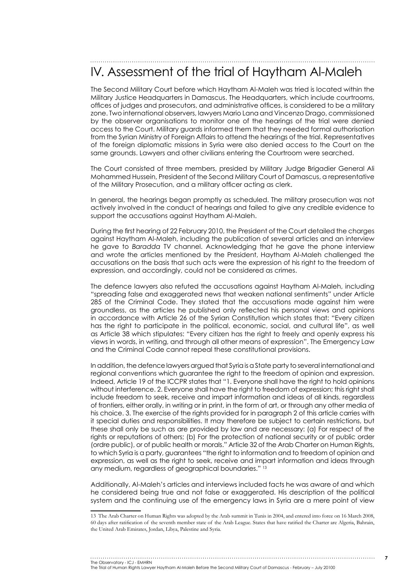## IV. Assessment of the trial of Haytham Al-Maleh

The Second Military Court before which Haytham Al-Maleh was tried is located within the Military Justice Headquarters in Damascus. The Headquarters, which include courtrooms, offices of judges and prosecutors, and administrative offices, is considered to be a military zone. Two international observers, lawyers Mario Lana and Vincenzo Drago, commissioned by the observer organisations to monitor one of the hearings of the trial were denied access to the Court. Military guards informed them that they needed formal authorisation from the Syrian Ministry of Foreign Affairs to attend the hearings of the trial. Representatives of the foreign diplomatic missions in Syria were also denied access to the Court on the same grounds. Lawyers and other civilians entering the Courtroom were searched.

The Court consisted of three members, presided by Military Judge Brigadier General Ali Mohammed Hussein, President of the Second Military Court of Damascus, a representative of the Military Prosecution, and a military officer acting as clerk.

In general, the hearings began promptly as scheduled. The military prosecution was not actively involved in the conduct of hearings and failed to give any credible evidence to support the accusations against Haytham Al-Maleh.

During the first hearing of 22 February 2010, the President of the Court detailed the charges against Haytham Al-Maleh, including the publication of several articles and an interview he gave to *Baradda* TV channel. Acknowledging that he gave the phone interview and wrote the articles mentioned by the President, Haytham Al-Maleh challenged the accusations on the basis that such acts were the expression of his right to the freedom of expression, and accordingly, could not be considered as crimes.

The defence lawyers also refuted the accusations against Haytham Al-Maleh, including "spreading false and exaggerated news that weaken national sentiments" under Article 285 of the Criminal Code. They stated that the accusations made against him were groundless, as the articles he published only reflected his personal views and opinions in accordance with Article 26 of the Syrian Constitution which states that: "Every citizen has the right to participate in the political, economic, social, and cultural life", as well as Article 38 which stipulates: "Every citizen has the right to freely and openly express his views in words, in writing, and through all other means of expression". The Emergency Law and the Criminal Code cannot repeal these constitutional provisions.

In addition, the defence lawyers argued that Syria is a State party to several international and regional conventions which guarantee the right to the freedom of opinion and expression. Indeed, Article 19 of the ICCPR states that "1. Everyone shall have the right to hold opinions without interference. 2. Everyone shall have the right to freedom of expression; this right shall include freedom to seek, receive and impart information and ideas of all kinds, regardless of frontiers, either orally, in writing or in print, in the form of art, or through any other media of his choice. 3. The exercise of the rights provided for in paragraph 2 of this article carries with it special duties and responsibilities. It may therefore be subject to certain restrictions, but these shall only be such as are provided by law and are necessary: (a) For respect of the rights or reputations of others; (b) For the protection of national security or of public order (ordre public), or of public health or morals." Article 32 of the Arab Charter on Human Rights, to which Syria is a party, guarantees "the right to information and to freedom of opinion and expression, as well as the right to seek, receive and impart information and ideas through any medium, regardless of geographical boundaries." 13

Additionally, Al-Maleh's articles and interviews included facts he was aware of and which he considered being true and not false or exaggerated. His description of the political system and the continuing use of the emergency laws in Syria are a mere point of view

The Observatory - ICJ - EMHRN The Trial of Human Rights Lawyer Haytham Al-Maleh Before the Second Military Court of Damascus - February – July 20100

<sup>13</sup> The Arab Charter on Human Rights was adopted by the Arab summit in Tunis in 2004, and entered into force on 16 March 2008, 60 days after ratification of the seventh member state of the Arab League. States that have ratified the Charter are Algeria, Bahrain, the United Arab Emirates, Jordan, Libya, Palestine and Syria.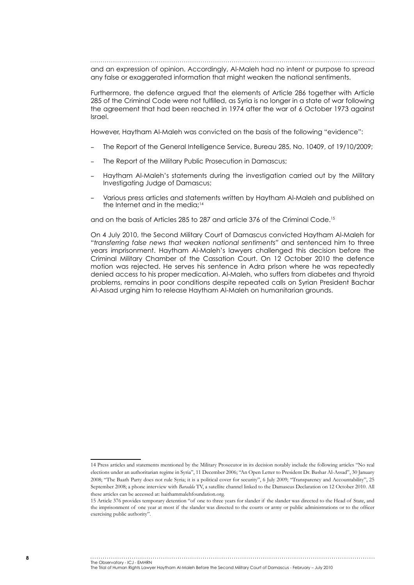and an expression of opinion. Accordingly, Al-Maleh had no intent or purpose to spread any false or exaggerated information that might weaken the national sentiments.

Furthermore, the defence argued that the elements of Article 286 together with Article 285 of the Criminal Code were not fulfilled, as Syria is no longer in a state of war following the agreement that had been reached in 1974 after the war of 6 October 1973 against Israel.

However, Haytham Al-Maleh was convicted on the basis of the following "evidence":

- The Report of the General Intelligence Service, Bureau 285, No. 10409, of 19/10/2009;
- The Report of the Military Public Prosecution in Damascus;
- − Haytham Al-Maleh's statements during the investigation carried out by the Military Investigating Judge of Damascus;
- Various press articles and statements written by Haytham Al-Maleh and published on the Internet and in the media: $14$

and on the basis of Articles 285 to 287 and article 376 of the Criminal Code.15

On 4 July 2010, the Second Military Court of Damascus convicted Haytham Al-Maleh for *"transferring false news that weaken national sentiments"* and sentenced him to three years imprisonment. Haytham Al-Maleh's lawyers challenged this decision before the Criminal Military Chamber of the Cassation Court. On 12 October 2010 the defence motion was rejected. He serves his sentence in Adra prison where he was repeatedly denied access to his proper medication. Al-Maleh, who suffers from diabetes and thyroid problems, remains in poor conditions despite repeated calls on Syrian President Bachar Al-Assad urging him to release Haytham Al-Maleh on humanitarian grounds.

#### The Observatory - ICJ - EMHRN

<sup>14</sup> Press articles and statements mentioned by the Military Prosecutor in its decision notably include the following articles "No real elections under an authoritarian regime in Syria", 11 December 2006; "An Open Letter to President Dr. Bashar Al-Assad", 30 January 2008; "The Baath Party does not rule Syria; it is a political cover for security", 6 July 2009; "Transparency and Accountability", 25 September 2008; a phone interview with *Baradda* TV, a satellite channel linked to the Damascus Declaration on 12 October 2010. All these articles can be accessed at: haithammalehfoundation.org.

<sup>15</sup> Article 376 provides temporary detention "of one to three years for slander if the slander was directed to the Head of State, and the imprisonment of one year at most if the slander was directed to the courts or army or public administrations or to the officer exercising public authority".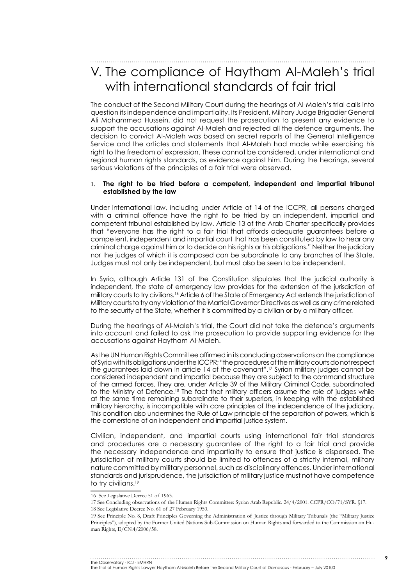V. The compliance of Haytham Al-Maleh's trial with international standards of fair trial

The conduct of the Second Military Court during the hearings of Al-Maleh's trial calls into question its independence and impartiality. Its President, Military Judge Brigadier General Ali Mohammed Hussein, did not request the prosecution to present any evidence to support the accusations against Al-Maleh and rejected all the defence arguments. The decision to convict Al-Maleh was based on secret reports of the General Intelligence Service and the articles and statements that Al-Maleh had made while exercising his right to the freedom of expression. These cannot be considered, under international and regional human rights standards, as evidence against him. During the hearings, several serious violations of the principles of a fair trial were observed.

#### 1. The right to be tried before a competent, independent and impartial tribunal **established by the law**

Under international law, including under Article of 14 of the ICCPR, all persons charged with a criminal offence have the right to be tried by an independent, impartial and competent tribunal established by law. Article 13 of the Arab Charter specifically provides that "everyone has the right to a fair trial that affords adequate guarantees before a competent, independent and impartial court that has been constituted by law to hear any criminal charge against him or to decide on his rights or his obligations.*"* Neither the judiciary nor the judges of which it is composed can be subordinate to any branches of the State. Judges must not only be independent, but must also be seen to be independent.

In Syria, although Article 131 of the Constitution stipulates that the judicial authority is independent, the state of emergency law provides for the extension of the jurisdiction of military courts to try civilians.16 Article 6 of the State of Emergency Act extends the jurisdiction of Military courts to try any violation of the Martial Governor Directives as well as any crime related to the security of the State, whether it is committed by a civilian or by a military officer.

During the hearings of Al-Maleh's trial, the Court did not take the defence's arguments into account and failed to ask the prosecution to provide supporting evidence for the accusations against Haytham Al-Maleh.

As the UN Human Rights Committee affirmed in its concluding observations on the compliance of Syria with its obligations under the ICCPR; "the procedures of the military courts do not respect the guarantees laid down in article 14 of the covenant".17 Syrian military judges cannot be considered independent and impartial because they are subject to the command structure of the armed forces. They are, under Article 39 of the Military Criminal Code, subordinated to the Ministry of Defence.18 The fact that military officers assume the role of judges while at the same time remaining subordinate to their superiors, in keeping with the established military hierarchy, is incompatible with core principles of the independence of the judiciary. This condition also undermines the Rule of Law principle of the separation of powers, which is the cornerstone of an independent and impartial justice system.

Civilian, independent, and impartial courts using international fair trial standards and procedures are a necessary guarantee of the right to a fair trial and provide the necessary independence and impartiality to ensure that justice is dispensed. The jurisdiction of military courts should be limited to offences of a strictly internal, military nature committed by military personnel, such as disciplinary offences. Under international standards and jurisprudence, the jurisdiction of military justice must not have competence to try civilians.<sup>19</sup>

- 17 See Concluding observations of the Human Rights Committee: Syrian Arab Republic. 24/4/2001. CCPR/CO/71/SYR. §17.
- 18 See Legislative Decree No. 61 of 27 February 1950.

The Observatory - ICJ - EMHRN The Trial of Human Rights Lawyer Haytham Al-Maleh Before the Second Military Court of Damascus - February – July 20100

<sup>16</sup> See Legislative Decree 51 of 1963.

<sup>19</sup> See Principle No. 8, Draft Principles Governing the Administration of Justice through Military Tribunals (the "Military Justice Principles"), adopted by the Former United Nations Sub-Commission on Human Rights and forwarded to the Commission on Human Rights, E/CN.4/2006/58.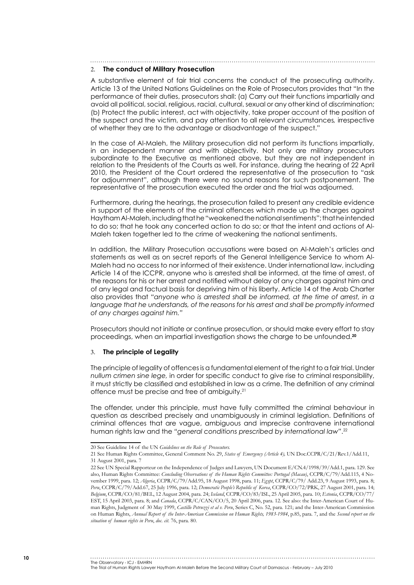#### 2. **The conduct of Military Prosecution**

A substantive element of fair trial concerns the conduct of the prosecuting authority. Article 13 of the United Nations Guidelines on the Role of Prosecutors provides that "In the performance of their duties, prosecutors shall: (a) Carry out their functions impartially and avoid all political, social, religious, racial, cultural, sexual or any other kind of discrimination; (b) Protect the public interest, act with objectivity, take proper account of the position of the suspect and the victim, and pay attention to all relevant circumstances*,* irrespective of whether they are to the advantage or disadvantage of the suspect."

In the case of Al-Maleh, the Military prosecution did not perform its functions impartially, in an independent manner and with objectivity. Not only are military prosecutors subordinate to the Executive as mentioned above, but they are not independent in relation to the Presidents of the Courts as well. For instance, during the hearing of 22 April 2010, the President of the Court ordered the representative of the prosecution to "ask for adjournment", although there were no sound reasons for such postponement. The representative of the prosecution executed the order and the trial was adjourned.

Furthermore, during the hearings, the prosecution failed to present any credible evidence in support of the elements of the criminal offences which made up the charges against Haytham Al-Maleh, including that he "weakened the national sentiments"; that he intended to do so; that he took any concerted action to do so; or that the intent and actions of Al-Maleh taken together led to the crime of weakening the national sentiments.

In addition, the Military Prosecution accusations were based on Al-Maleh's articles and statements as well as on secret reports of the General Intelligence Service to whom Al-Maleh had no access to nor informed of their existence. Under international law, including Article 14 of the ICCPR, anyone who is arrested shall be informed, at the time of arrest, of the reasons for his or her arrest and notified without delay of any charges against him and of any legal and factual basis for depriving him of his liberty. Article 14 of the Arab Charter also provides that *"anyone who is arrested shall be informed, at the time of arrest, in a language that he understands, of the reasons for his arrest and shall be promptly informed of any charges against him."*

Prosecutors should not initiate or continue prosecution, or should make every effort to stay proceedings, when an impartial investigation shows the charge to be unfounded.**<sup>20</sup>**

#### 3. **The principle of Legality**

The principle of legality of offences is a fundamental element of the right to a fair trial. Under *nullum crimen sine lege,* in order for specific conduct to give rise to criminal responsibility, it must strictly be classified and established in law as a crime. The definition of any criminal offence must be precise and free of ambiguity.21

The offender, under this principle, must have fully committed the criminal behaviour in question as described precisely and unambiguously in criminal legislation. Definitions of criminal offences that are vague, ambiguous and imprecise contravene international human rights law and the *"general conditions prescribed by international law"*. 22

#### The Observatory - ICJ - EMHRN

<sup>20</sup> See Guideline 14 of the UN *Guidelines on the Role of Prosecutors.*

<sup>21</sup> See Human Rights Committee, General Comment No. 29, *States of Emergency (Article 4),* UN Doc.CCPR/C/21/Rev.1/Add.11, 31 August 2001, para. 7

<sup>22</sup> See UN Special Rapporteur on the Independence of Judges and Lawyers, UN Document E/CN.4/1998/39/Add.1, para. 129. See also, Human Rights Committee: *Concluding Observations of the Human Rights Committee: Portugal (Macau)*, CCPR/C/79/Add.115, 4 November 1999, para. 12; *Algeria*, CCPR/C/79/Add.95, 18 August 1998, para. 11; *Egypt*, CCPR/C/79/ Add.23, 9 August 1993, para. 8; *Peru*, CCPR/C/79/Add.67, 25 July 1996, para. 12; *Democratic People's Republic of Korea*, CCPR/CO/72/PRK, 27 August 2001, para. 14; *Belgium*, CCPR/CO/81/BEL, 12 August 2004, para. 24; *Iceland*, CCPR/CO/83/ISL, 25 April 2005, para. 10; *Estonia*, CCPR/CO/77/ EST, 15 April 2003, para. 8; and *Canada*, CCPR/C/CAN/CO/5, 20 April 2006, para. 12. See also: the Inter-American Court of Human Rights, Judgment of 30 May 1999, *Castillo Petruzzi et al v. Peru*, Series C, No. 52, para. 121; and the Inter-American Commission on Human Rights, *Annual Report of the Inter-American Commission on Human Rights, 1983-1984*, p.85, para. 7, and the *Second report on the situation of human rights in Peru*, *doc. cit.* 76, para. 80.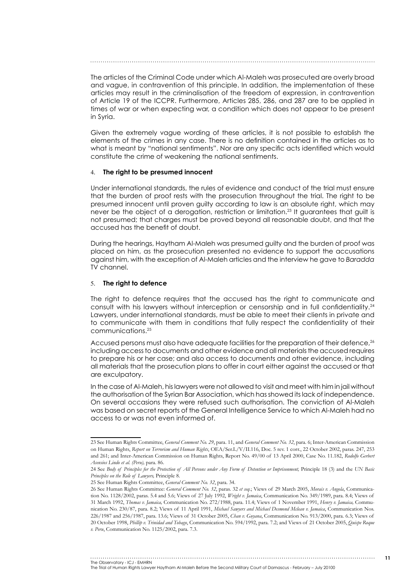The articles of the Criminal Code under which Al-Maleh was prosecuted are overly broad and vague, in contravention of this principle. In addition, the implementation of these articles may result in the criminalisation of the freedom of expression, in contravention of Article 19 of the ICCPR. Furthermore, Articles 285, 286, and 287 are to be applied in times of war or when expecting war, a condition which does not appear to be present in Syria.

Given the extremely vague wording of these articles, it is not possible to establish the elements of the crimes in any case. There is no definition contained in the articles as to what is meant by "national sentiments". Nor are any specific acts identified which would constitute the crime of weakening the national sentiments.

#### 4. **The right to be presumed innocent**

Under international standards, the rules of evidence and conduct of the trial must ensure that the burden of proof rests with the prosecution throughout the trial. The right to be presumed innocent until proven guilty according to law is an absolute right, which may never be the object of a derogation, restriction or limitation.<sup>23</sup> It guarantees that quilt is not presumed; that charges must be proved beyond all reasonable doubt, and that the accused has the benefit of doubt.

During the hearings, Haytham Al-Maleh was presumed guilty and the burden of proof was placed on him, as the prosecution presented no evidence to support the accusations against him, with the exception of Al-Maleh articles and the interview he gave to *Baradda* TV channel.

#### 5. **The right to defence**

The right to defence requires that the accused has the right to communicate and consult with his lawyers without interception or censorship and in full confidentiality.<sup>24</sup> Lawyers, under international standards, must be able to meet their clients in private and to communicate with them in conditions that fully respect the confidentiality of their communications.25

Accused persons must also have adequate facilities for the preparation of their defence,<sup>26</sup> including access to documents and other evidence and all materials the accused requires to prepare his or her case; and also access to documents and other evidence, including all materials that the prosecution plans to offer in court either against the accused or that are exculpatory.

In the case of Al-Maleh, his lawyers were not allowed to visit and meet with him in jail without the authorisation of the Syrian Bar Association, which has showed its lack of independence. On several occasions they were refused such authorisation. The conviction of Al-Maleh was based on secret reports of the General Intelligence Service to which Al-Maleh had no access to or was not even informed of.

<sup>23</sup> See Human Rights Committee, *General Comment No. 29*, para. 11, and *General Comment No. 32*, para. 6; Inter-American Commission on Human Rights, *Report on Terrorism and Human Rights*, OEA/Ser.L/V/II.116, Doc. 5 rev. 1 corr., 22 October 2002, paras. 247, 253 and 261; and Inter-American Commission on Human Rights, Report No. 49/00 of 13 April 2000, Case No. 11.182, *Rodolfo Gerbert Asensios Lindo et al. (Peru),* para. 86.

<sup>24</sup> See *Body of Principles for the Protection of All Persons under Any Form of Detention or Imprisonment,* Principle 18 (3) and the *UN Basic Principles on the Role of Lawyers,* Principle 8.

<sup>25</sup> See Human Rights Committee, *General Comment No. 32*, para. 34.

<sup>26</sup> See Human Rights Committee: *General Comment No. 32*, paras. 32 *et seq.*; Views of 29 March 2005, *Morais v. Angola*, Communication No. 1128/2002, paras. 5.4 and 5.6; Views of 27 July 1992, *Wright v. Jamaica*, Communication No. 349/1989, para. 8.4; Views of 31 March 1992, *Thomas v. Jamaica,* Communication No. 272/1988, para. 11.4; Views of 1 November 1991, *Henry v. Jamaica,* Communication No. 230/87, para. 8.2; Views of 11 April 1991, *Michael Sawyers and Michael Desmond Mclean v. Jamaica*, Communication Nos. 226/1987 and 256/1987, para. 13.6; Views of 31 October 2005, *Chan v. Guyana*, Communication No. 913/2000, para. 6.3; Views of 20 October 1998, *Phillip v. Trinidad and Tobago*, Communication No. 594/1992, para. 7.2; and Views of 21 October 2005, *Quispe Roque v. Peru*, Communication No. 1125/2002, para. 7.3.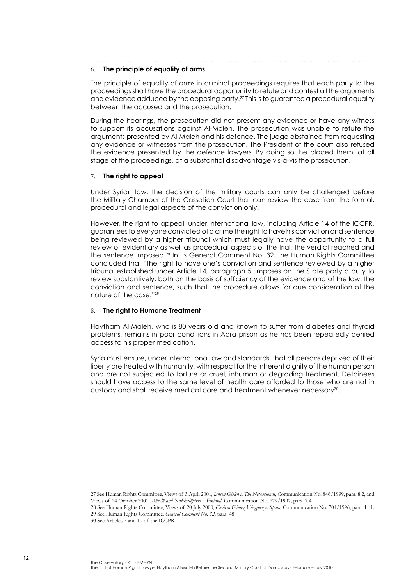### 6. **The principle of equality of arms**

The principle of equality of arms in criminal proceedings requires that each party to the proceedings shall have the procedural opportunity to refute and contest all the arguments and evidence adduced by the opposing party.27 This is to guarantee a procedural equality between the accused and the prosecution.

During the hearings, the prosecution did not present any evidence or have any witness to support its accusations against Al-Maleh. The prosecution was unable to refute the arguments presented by Al-Maleh and his defence. The judge abstained from requesting any evidence or witnesses from the prosecution. The President of the court also refused the evidence presented by the defence lawyers. By doing so, he placed them, at all stage of the proceedings, at a substantial disadvantage vis-à-vis the prosecution.

#### 7. **The right to appeal**

Under Syrian law, the decision of the military courts can only be challenged before the Military Chamber of the Cassation Court that can review the case from the formal, procedural and legal aspects of the conviction only.

However, the right to appeal, under international law, including Article 14 of the ICCPR, guarantees to everyone convicted of a crime the right to have his conviction and sentence being reviewed by a higher tribunal which must legally have the opportunity to a full review of evidentiary as well as procedural aspects of the trial, the verdict reached and the sentence imposed.28 In its General Comment No. 32*,* the Human Rights Committee concluded that "the right to have one's conviction and sentence reviewed by a higher tribunal established under Article 14, paragraph 5, imposes on the State party a duty to review substantively, both on the basis of sufficiency of the evidence and of the law, the conviction and sentence, such that the procedure allows for due consideration of the nature of the case."29

#### 8. **The right to Humane Treatment**

Haytham Al-Maleh, who is 80 years old and known to suffer from diabetes and thyroid problems, remains in poor conditions in Adra prison as he has been repeatedly denied access to his proper medication.

Syria must ensure, under international law and standards, that all persons deprived of their liberty are treated with humanity, with respect for the inherent dignity of the human person and are not subjected to torture or cruel, inhuman or degrading treatment. Detainees should have access to the same level of health care afforded to those who are not in custody and shall receive medical care and treatment whenever necessary<sup>30</sup>.

#### The Observatory - ICJ - EMHRN

<sup>27</sup> See Human Rights Committee, Views of 3 April 2001, *Jansen-Gielen v. The Netherlands*, Communication No. 846/1999, para. 8.2, and Views of 24 October 2001, *Äärelä and Näkkäläjärvi v. Finland*, Communication No. 779/1997, para. 7.4.

<sup>28</sup> See Human Rights Committee, Views of 20 July 2000, *Cesáreo Gómez Vázquez v. Spain*, Communication No. 701/1996, para. 11.1. 29 See Human Rights Committee, *General Comment No. 32*, para. 48.

<sup>30</sup> See Articles 7 and 10 of the ICCPR.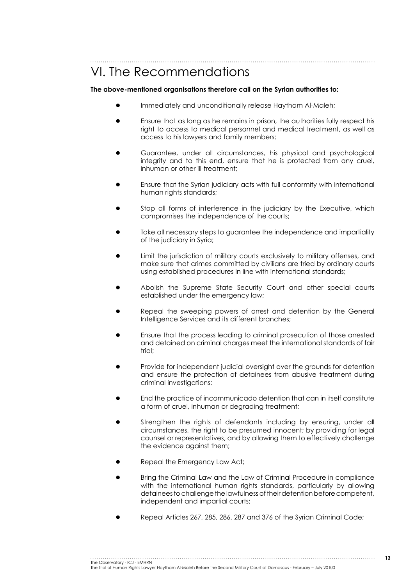VI. The Recommendations

**The above-mentioned organisations therefore call on the Syrian authorities to:**

- Immediately and unconditionally release Haytham Al-Maleh;
- Ensure that as long as he remains in prison, the authorities fully respect his right to access to medical personnel and medical treatment, as well as access to his lawyers and family members;
- Guarantee, under all circumstances, his physical and psychological integrity and to this end, ensure that he is protected from any cruel, inhuman or other ill-treatment;
- Ensure that the Syrian judiciary acts with full conformity with international human rights standards;
- Stop all forms of interference in the judiciary by the Executive, which compromises the independence of the courts;
- Take all necessary steps to guarantee the independence and impartiality of the judiciary in Syria;
- Limit the jurisdiction of military courts exclusively to military offenses, and make sure that crimes committed by civilians are tried by ordinary courts using established procedures in line with international standards;
- Abolish the Supreme State Security Court and other special courts established under the emergency law;
- Repeal the sweeping powers of arrest and detention by the General Intelligence Services and its different branches;
- Ensure that the process leading to criminal prosecution of those arrested and detained on criminal charges meet the international standards of fair trial:
- Provide for independent judicial oversight over the grounds for detention and ensure the protection of detainees from abusive treatment during criminal investigations;
- End the practice of incommunicado detention that can in itself constitute a form of cruel, inhuman or degrading treatment;
- Strengthen the rights of defendants including by ensuring, under all circumstances, the right to be presumed innocent; by providing for legal counsel or representatives, and by allowing them to effectively challenge the evidence against them;
- Repeal the Emergency Law Act;
- Bring the Criminal Law and the Law of Criminal Procedure in compliance with the international human rights standards, particularly by allowing detainees to challenge the lawfulness of their detention before competent, independent and impartial courts;
- Repeal Articles 267, 285, 286, 287 and 376 of the Syrian Criminal Code;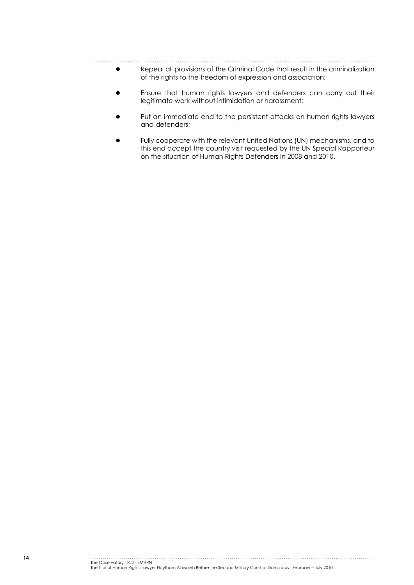- Repeal all provisions of the Criminal Code that result in the criminalization of the rights to the freedom of expression and association;
- Ensure that human rights lawyers and defenders can carry out their legitimate work without intimidation or harassment;
- Put an immediate end to the persistent attacks on human rights lawyers and defenders;
- Fully cooperate with the relevant United Nations (UN) mechanisms, and to this end accept the country visit requested by the UN Special Rapporteur on the situation of Human Rights Defenders in 2008 and 2010.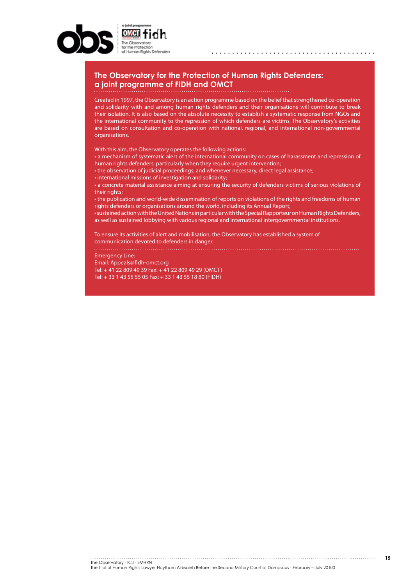

#### **The Observatory for the Protection of Human Rights Defenders: a joint programme of FIDH and OMCT**

Created in 1997, the Observatory is an action programme based on the belief that strengthened co-operation and solidarity with and among human rights defenders and their organisations will contribute to break their isolation. It is also based on the absolute necessity to establish a systematic response from NGOs and the international community to the repression of which defenders are victims. The Observatory's activities are based on consultation and co-operation with national, regional, and international non-governmental organisations.

With this aim, the Observatory operates the following actions:

• a mechanism of systematic alert of the international community on cases of harassment and repression of human rights defenders, particularly when they require urgent intervention;

• the observation of judicial proceedings, and whenever necessary, direct legal assistance;

• international missions of investigation and solidarity;

• a concrete material assistance aiming at ensuring the security of defenders victims of serious violations of their rights;

• the publication and world-wide dissemination of reports on violations of the rights and freedoms of human rights defenders or organisations around the world, including its Annual Report;

• sustained action with the United Nations in particular with the Special Rapporteur on Human Rights Defenders, as well as sustained lobbying with various regional and international intergovernmental institutions.

To ensure its activities of alert and mobilisation, the Observatory has established a system of communication devoted to defenders in danger.

Emergency Line: Email: Appeals@fidh-omct.org Tel: + 41 22 809 49 39 Fax: + 41 22 809 49 29 (OMCT) Tel: + 33 1 43 55 55 05 Fax: + 33 1 43 55 18 80 (FIDH)